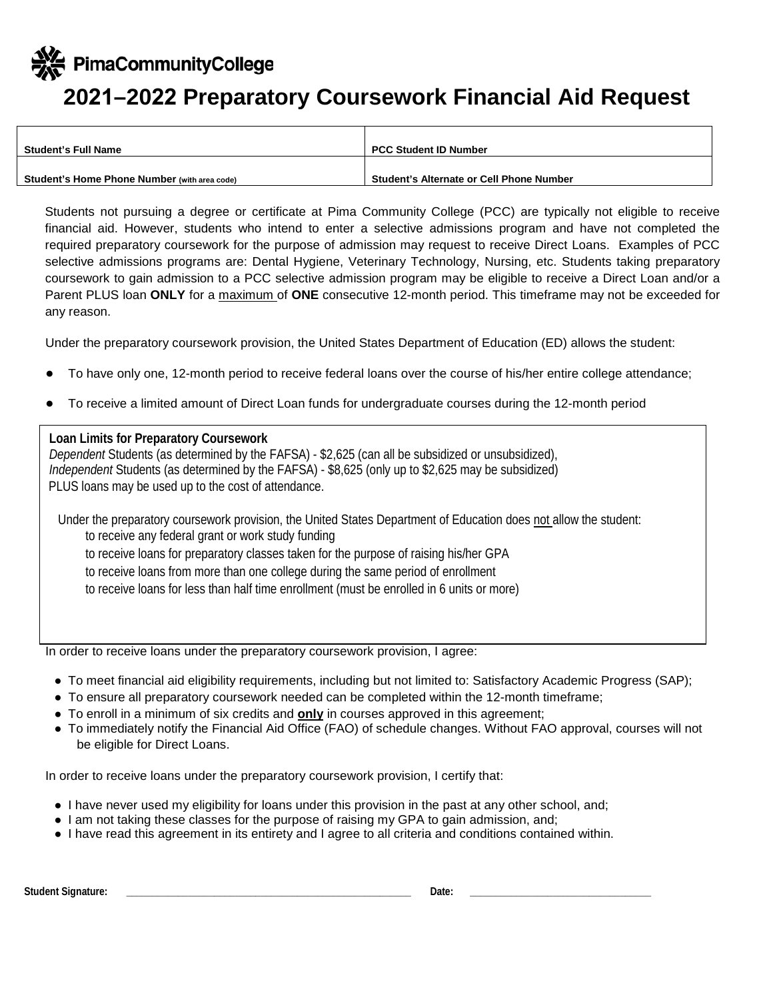PimaCommunityCollege

## **2021–2022 Preparatory Coursework Financial Aid Request**

| <b>Student's Full Name</b>                   | <b>PCC Student ID Number</b>                    |
|----------------------------------------------|-------------------------------------------------|
|                                              |                                                 |
| Student's Home Phone Number (with area code) | <b>Student's Alternate or Cell Phone Number</b> |

Students not pursuing a degree or certificate at Pima Community College (PCC) are typically not eligible to receive financial aid. However, students who intend to enter a selective admissions program and have not completed the required preparatory coursework for the purpose of admission may request to receive Direct Loans. Examples of PCC selective admissions programs are: Dental Hygiene, Veterinary Technology, Nursing, etc. Students taking preparatory coursework to gain admission to a PCC selective admission program may be eligible to receive a Direct Loan and/or a Parent PLUS loan **ONLY** for a maximum of **ONE** consecutive 12-month period. This timeframe may not be exceeded for any reason.

Under the preparatory coursework provision, the United States Department of Education (ED) allows the student:

- To have only one, 12-month period to receive federal loans over the course of his/her entire college attendance;
- To receive a limited amount of Direct Loan funds for undergraduate courses during the 12-month period

## **Loan Limits for Preparatory Coursework**

*Dependent* Students (as determined by the FAFSA) - \$2,625 (can all be subsidized or unsubsidized), *Independent* Students (as determined by the FAFSA) - \$8,625 (only up to \$2,625 may be subsidized) PLUS loans may be used up to the cost of attendance.

Under the preparatory coursework provision, the United States Department of Education does not allow the student: to receive any federal grant or work study funding to receive loans for preparatory classes taken for the purpose of raising his/her GPA to receive loans from more than one college during the same period of enrollment to receive loans for less than half time enrollment (must be enrolled in 6 units or more)

In order to receive loans under the preparatory coursework provision, I agree:

- To meet financial aid eligibility requirements, including but not limited to: Satisfactory Academic Progress (SAP);
- To ensure all preparatory coursework needed can be completed within the 12-month timeframe;
- To enroll in a minimum of six credits and **only** in courses approved in this agreement;
- To immediately notify the Financial Aid Office (FAO) of schedule changes. Without FAO approval, courses will not be eligible for Direct Loans.

In order to receive loans under the preparatory coursework provision, I certify that:

- I have never used my eligibility for loans under this provision in the past at any other school, and;
- I am not taking these classes for the purpose of raising my GPA to gain admission, and;
- I have read this agreement in its entirety and I agree to all criteria and conditions contained within.

Student Signature: **Example 2018** and 2019 and 2019 and 2019 and 2019 and 2019 and 2019 and 2019 and 2019 and 2019 and 2019 and 2019 and 2019 and 2019 and 2019 and 2019 and 2019 and 2019 and 2019 and 2019 and 2019 and 2019